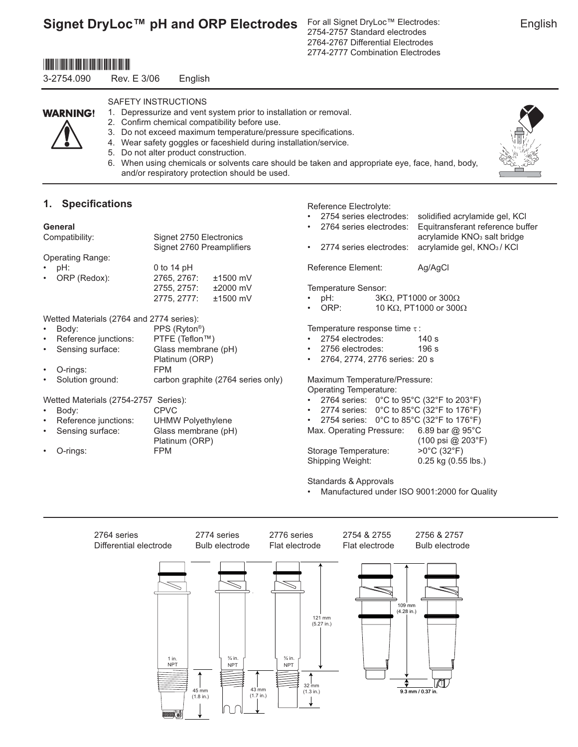For all Signet DryLoc™ Electrodes: 2754-2757 Standard electrodes 2764-2767 Differential Electrodes 2774-2777 Combination Electrodes

## \*3-2754.090\*

3-2754.090 Rev. E 3/06 English

# **WARNING!**

- SAFETY INSTRUCTIONS
- 1. Depressurize and vent system prior to installation or removal.
- 2. Confirm chemical compatibility before use. 3. Do not exceed maximum temperature/pressure specifications.
- 4. Wear safety goggles or faceshield during installation/service.
- 5. Do not alter product construction.
- 6. When using chemicals or solvents care should be taken and appropriate eye, face, hand, body, and/or respiratory protection should be used.

### **1.** Specifications

#### **General**

| Compatibility:                           | Signet 2750 Electronics<br>Signet 2760 Preamplifiers |            |  |
|------------------------------------------|------------------------------------------------------|------------|--|
| <b>Operating Range:</b>                  |                                                      |            |  |
| pH:                                      | 0 to 14 $pH$                                         |            |  |
| ORP (Redox):                             | 2765, 2767:                                          | $±1500$ mV |  |
|                                          | 2755, 2757:                                          | $±2000$ mV |  |
|                                          | 2775, 2777:                                          | $±1500$ mV |  |
| Wetted Materials (2764 and 2774 series): | ——— <i>————</i> ——                                   |            |  |

| $\bullet$ | Body:                | PPS (Ryton <sup>®</sup> )          |
|-----------|----------------------|------------------------------------|
| $\bullet$ | Reference junctions: | PTFE (Teflon™)                     |
| $\bullet$ | Sensing surface:     | Glass membrane (pH)                |
|           |                      | Platinum (ORP)                     |
| $\bullet$ | O-rings:             | <b>FPM</b>                         |
| $\bullet$ | Solution ground:     | carbon graphite (2764 series only) |

Wetted Materials (2754-2757 Series):

| $\bullet$ | Body:                  | <b>CPVC</b>         |
|-----------|------------------------|---------------------|
|           | • Reference junctions: | UHMW Polyethylene   |
|           | • Sensing surface:     | Glass membrane (pH) |
|           |                        | Platinum (ORP)      |
|           | $\cdot$ O-rings:       | <b>FPM</b>          |

- Reference Electrolyte:
- 2754 series electrodes: solidified acrylamide gel, KCl
- 2764 series electrodes: Equitransferant reference buffer
	- acrylamide KNO<sub>3</sub> salt bridge • 2774 series electrodes: acrylamide gel, KNO3 / KCl

Reference Element: Ag/AgCl

Temperature Sensor:

- $pH$ : 3KΩ, PT1000 or 300Ω
- ORP: 10 KΩ, PT1000 or 300Ω

Temperature response time τ :

- 2754 electrodes: 140 s
- 2756 electrodes: 196 s
- 2764, 2774, 2776 series: 20 s

#### Maximum Temperature/Pressure: Operating Temperature:

- 2764 series: 0°C to 95°C (32°F to 203°F)
- 2774 series: 0°C to 85°C (32°F to 176°F)
- 2754 series: 0°C to 85°C (32°F to 176°F)
- Max. Operating Pressure: 6.89 bar @ 95°C

Storage Temperature:  $>0^{\circ}$ C (32 $^{\circ}$ F)

Shipping Weight: 0.25 kg (0.55 lbs.)

(100 psi @ 203°F)

Standards & Approvals

• Manufactured under ISO 9001:2000 for Quality



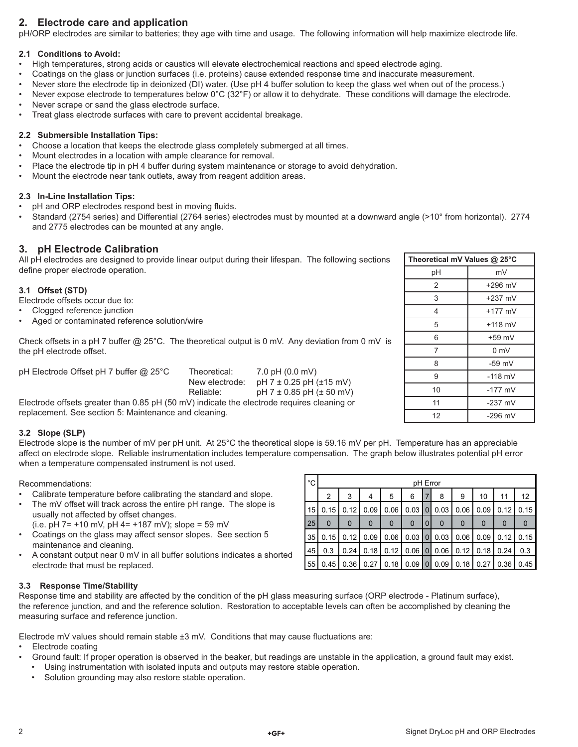### **2. Electrode care and application**

pH/ORP electrodes are similar to batteries; they age with time and usage. The following information will help maximize electrode life.

#### **2.1 Conditions to Avoid:**

- High temperatures, strong acids or caustics will elevate electrochemical reactions and speed electrode aging.
- Coatings on the glass or junction surfaces (i.e. proteins) cause extended response time and inaccurate measurement.
- Never store the electrode tip in deionized (DI) water. (Use pH 4 buffer solution to keep the glass wet when out of the process.)
- Never expose electrode to temperatures below  $0^{\circ}C$  (32 $^{\circ}F$ ) or allow it to dehydrate. These conditions will damage the electrode.
- Never scrape or sand the glass electrode surface.
- Treat glass electrode surfaces with care to prevent accidental breakage.

#### **2.2 Submersible Installation Tips:**

- Choose a location that keeps the electrode glass completely submerged at all times.
- Mount electrodes in a location with ample clearance for removal.
- Place the electrode tip in pH 4 buffer during system maintenance or storage to avoid dehydration.
- Mount the electrode near tank outlets, away from reagent addition areas.

#### **2.3 In-Line Installation Tips:**

- pH and ORP electrodes respond best in moving fluids.
- Standard (2754 series) and Differential (2764 series) electrodes must by mounted at a downward angle (>10° from horizontal). 2774 and 2775 electrodes can be mounted at any angle.

### **3. pH Electrode Calibration**

All pH electrodes are designed to provide linear output during their lifespan. The following sections define proper electrode operation.

#### **3.1 Offset (STD)**

Electrode offsets occur due to:

- Clogged reference junction
- Aged or contaminated reference solution/wire

Check offsets in a pH 7 buffer @ 25°C. The theoretical output is 0 mV. Any deviation from 0 mV is the pH electrode offset.

pH Electrode Offset pH 7 buffer @ 25°C Theoretical: 7.0 pH (0.0 mV)

New electrode:  $pH 7 \pm 0.25$  pH ( $\pm 15$  mV) Reliable:  $pH 7 \pm 0.85 pH (\pm 50 mV)$ 

Electrode offsets greater than 0.85 pH (50 mV) indicate the electrode requires cleaning or replacement. See section 5: Maintenance and cleaning.

#### **3.2 Slope (SLP)**

Electrode slope is the number of mV per pH unit. At 25<sup>°</sup>C the theoretical slope is 59.16 mV per pH. Temperature has an appreciable affect on electrode slope. Reliable instrumentation includes temperature compensation. The graph below illustrates potential pH error when a temperature compensated instrument is not used.

#### Recommendations:

- Calibrate temperature before calibrating the standard and slope.
- The mV offset will track across the entire pH range. The slope is usually not affected by offset changes.
- (i.e. pH  $7 = +10$  mV, pH  $4 = +187$  mV); slope = 59 mV
- Coatings on the glass may affect sensor slopes. See section 5 maintenance and cleaning.
- A constant output near 0 mV in all buffer solutions indicates a shorted electrode that must be replaced.

| $^{\circ}C$ | pH Error    |          |             |             |          |                |             |          |             |             |      |
|-------------|-------------|----------|-------------|-------------|----------|----------------|-------------|----------|-------------|-------------|------|
|             | 2           | 3        | 4           | 5           | 6        | 7              | 8           | 9        | 10          | 11          | 12   |
| 15          | 0.15        | 0.12     | 0.09        | 0.06        | 0.03     | $\overline{0}$ | 0.03        | 0.06     | 0.09        | 0.12        | 0.15 |
| 25          | $\mathbf 0$ | $\Omega$ | $\mathbf 0$ | $\mathbf 0$ | $\Omega$ | $\mathbf 0$    | $\mathbf 0$ | $\Omega$ | $\mathbf 0$ | $\mathbf 0$ | 0    |
| 35          | 0.15        | 0.12     | 0.09        | 0.06        | 0.03     | $\overline{0}$ | 0.03        | 0.06     | 0.09        | 0.12        | 0.15 |
| 45          | 0.3         | 0.24     | 0.18        | 0.12        | 0.06     | $\overline{0}$ | 0.06        | 0.12     | 0.18        | 0.24        | 0.3  |
| 55          | 0.45        | 0.36     | 0.27        | 0.18        | 0.09     | $\mathbf{0}$   | 0.09        | 0.18     | 0.27        | 0.36        | 0.45 |

#### **3.3 Response Time/Stability**

Response time and stability are affected by the condition of the pH glass measuring surface (ORP electrode - Platinum surface), the reference junction, and and the reference solution. Restoration to acceptable levels can often be accomplished by cleaning the measuring surface and reference junction.

Electrode mV values should remain stable  $\pm 3$  mV. Conditions that may cause fluctuations are:

- Electrode coating
- Ground fault: If proper operation is observed in the beaker, but readings are unstable in the application, a ground fault may exist.
- Using instrumentation with isolated inputs and outputs may restore stable operation.
- Solution grounding may also restore stable operation.

| $+GF$ | Signet DryLoc pH and ORP Electrodes |
|-------|-------------------------------------|
|       |                                     |

| 2  | $+296$ mV      |
|----|----------------|
| 3  | $+237$ mV      |
| 4  | $+177$ mV      |
| 5  | $+118$ mV      |
| 6  | $+59$ mV       |
| 7  | 0 <sub>m</sub> |
| 8  | $-59$ mV       |
| 9  | $-118$ mV      |
| 10 | $-177$ mV      |
| 11 | $-237$ mV      |
| 12 | $-296$ mV      |
|    |                |

**Theoretical mV Values @ 25°C** pH mV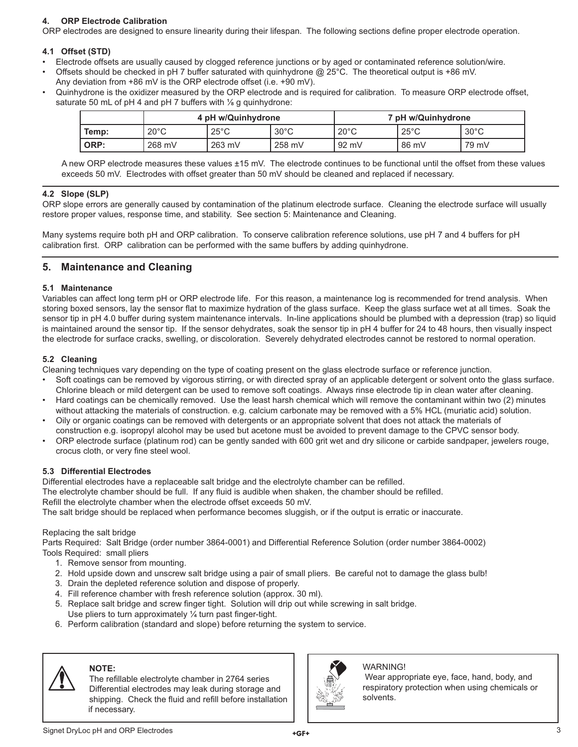### **4. ORP Electrode Calibration**

ORP electrodes are designed to ensure linearity during their lifespan. The following sections define proper electrode operation.

#### **4.1 Offset (STD)**

- Electrode offsets are usually caused by clogged reference junctions or by aged or contaminated reference solution/wire.
- Offsets should be checked in pH 7 buffer saturated with quinhydrone @ 25°C. The theoretical output is +86 mV.
- Any deviation from +86 mV is the ORP electrode offset (i.e. +90 mV). • Quinhydrone is the oxidizer measured by the ORP electrode and is required for calibration. To measure ORP electrode offset,

saturate 50 mL of pH 4 and pH 7 buffers with  $\frac{1}{8}$  g quinhydrone:

|       |                | 4 pH w/Quinhydrone |                | 7 pH w/Quinhydrone |                |                |
|-------|----------------|--------------------|----------------|--------------------|----------------|----------------|
| Temp: | $20^{\circ}$ C | $25^{\circ}$ C     | $30^{\circ}$ C | $20^{\circ}$ C     | $25^{\circ}$ C | $30^{\circ}$ C |
| ORP:  | 268 mV         | $263$ mV           | 258 mV         | 92 mV              | 86 mV          | 79 mV          |

A new ORP electrode measures these values ±15 mV. The electrode continues to be functional until the offset from these values exceeds 50 mV. Electrodes with offset greater than 50 mV should be cleaned and replaced if necessary.

#### **4.2 Slope (SLP)**

ORP slope errors are generally caused by contamination of the platinum electrode surface. Cleaning the electrode surface will usually restore proper values, response time, and stability. See section 5: Maintenance and Cleaning.

Many systems require both pH and ORP calibration. To conserve calibration reference solutions, use pH 7 and 4 buffers for pH calibration first. ORP calibration can be performed with the same buffers by adding quinhydrone.

### **5. Maintenance and Cleaning**

#### **5.1 Maintenance**

Variables can affect long term pH or ORP electrode life. For this reason, a maintenance log is recommended for trend analysis. When storing boxed sensors, lay the sensor flat to maximize hydration of the glass surface. Keep the glass surface wet at all times. Soak the sensor tip in pH 4.0 buffer during system maintenance intervals. In-line applications should be plumbed with a depression (trap) so liquid is maintained around the sensor tip. If the sensor dehydrates, soak the sensor tip in pH 4 buffer for 24 to 48 hours, then visually inspect the electrode for surface cracks, swelling, or discoloration. Severely dehydrated electrodes cannot be restored to normal operation.

#### **5.2 Cleaning**

Cleaning techniques vary depending on the type of coating present on the glass electrode surface or reference junction.

- Soft coatings can be removed by vigorous stirring, or with directed spray of an applicable detergent or solvent onto the glass surface. Chlorine bleach or mild detergent can be used to remove soft coatings. Always rinse electrode tip in clean water after cleaning.
- Hard coatings can be chemically removed. Use the least harsh chemical which will remove the contaminant within two (2) minutes without attacking the materials of construction. e.g. calcium carbonate may be removed with a 5% HCL (muriatic acid) solution.
- Oily or organic coatings can be removed with detergents or an appropriate solvent that does not attack the materials of construction e.g. isopropyl alcohol may be used but acetone must be avoided to prevent damage to the CPVC sensor body.
- ORP electrode surface (platinum rod) can be gently sanded with 600 grit wet and dry silicone or carbide sandpaper, jewelers rouge, crocus cloth, or very fine steel wool.

#### **5.3 Differential Electrodes**

Differential electrodes have a replaceable salt bridge and the electrolyte chamber can be refilled.

The electrolyte chamber should be full. If any fluid is audible when shaken, the chamber should be refilled.

Refill the electrolyte chamber when the electrode offset exceeds 50 mV.

The salt bridge should be replaced when performance becomes sluggish, or if the output is erratic or inaccurate.

#### Replacing the salt bridge

Parts Required: Salt Bridge (order number 3864-0001) and Differential Reference Solution (order number 3864-0002) Tools Required: small pliers

- 1. Remove sensor from mounting.
- 2. Hold upside down and unscrew salt bridge using a pair of small pliers. Be careful not to damage the glass bulb!
- 3. Drain the depleted reference solution and dispose of properly.
- 4. Fill reference chamber with fresh reference solution (approx. 30 ml).
- 5. Replace salt bridge and screw finger tight. Solution will drip out while screwing in salt bridge. Use pliers to turn approximately  $\frac{1}{4}$  turn past finger-tight.
- 6. Perform calibration (standard and slope) before returning the system to service.



### **NOTE:**

The refillable electrolyte chamber in 2764 series Differential electrodes may leak during storage and shipping. Check the fluid and refill before installation if necessary.



WARNING!

 Wear appropriate eye, face, hand, body, and respiratory protection when using chemicals or solvents.